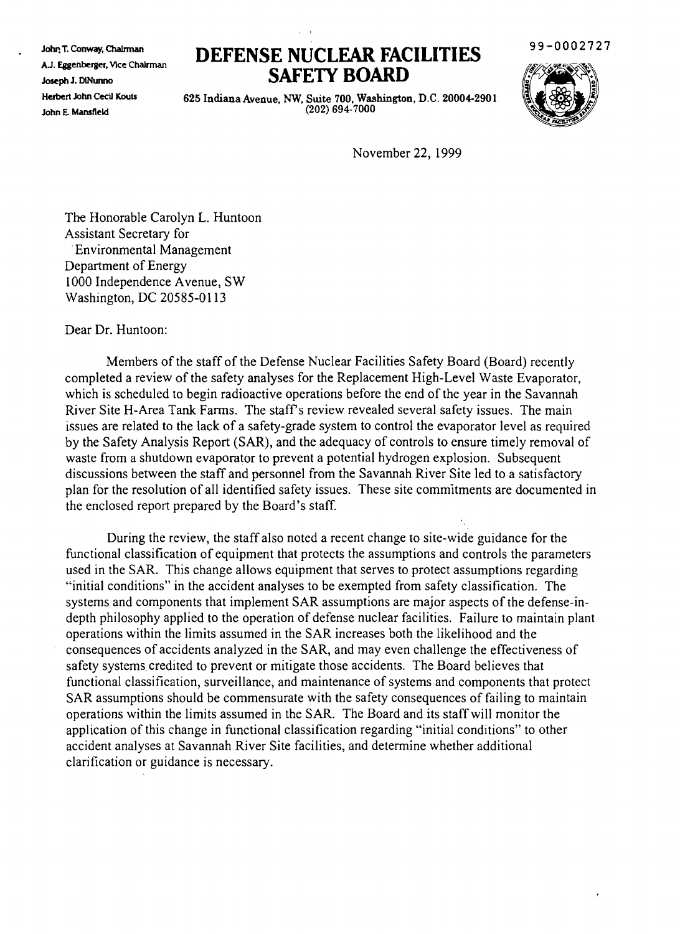John T. Conway, ChaIrman AJ. Eggenberger, VIce Chairman Joseph J. DiNunno Herbert John Cecil Kouts John E. Mansfield

## **DEFENSE NUCLFAR FACILITIES SAFETY BOARD**

99-0002727



625 Indiana Avenue, NW, Suite 700, Washington, D.C. 20004-2901 (202) 694-7000

November 22, 1999

The Honorable Carolyn L. Huntoon Assistant Secretary for .Environmental Management Department of Energy 1000 Independence Avenue, SW Washington, DC 20585-0113

Dear Dr. Huntoon:

Members of the staff of the Defense Nuclear Facilities Safety Board (Board) recently completed a review of the safety analyses for the Replacement High-Level Waste Evaporator, which is scheduled to begin radioactive operations before the end of the year in the Savannah River Site H-Area Tank Farms. The staff's review revealed several safety issues. The main issues are related to the lack of a safety-grade system to control the evaporator level as required by the Safety Analysis Report (SAR), and the adequacy of controls to ensure timely removal of waste from a shutdown evaporator to prevent a potential hydrogen explosion. Subsequent discussions between the staff and personnel from the Savannah River Site led to a satisfactory plan for the resolution of all identified safety issues. These site commitments are documented in the enclosed report prepared by the Board's staff.

During the review, the staff also noted a recent change to site-wide guidance for the functional classification of equipment that protects the assumptions and controls the parameters used in the SAR. This change allows equipment that serves to protect assumptions regarding "initial conditions" in the accident analyses to be exempted from safety classification. The systems and components that implement SAR assumptions are major aspects of the defense-indepth philosophy applied to the operation of defense nuclear facilities. Failure to maintain plant operations within the limits assumed in the SAR increases both the likelihood and the consequences of accidents analyzed in the SAR, and may even challenge the effectiveness of safety systems credited to prevent or mitigate those accidents. The Board believes that functional classification, surveillance, and maintenance of systems and components that protect SAR assumptions should be commensurate with the safety consequences of failing to maintain operations within the limits assumed in the SAR. The Board and its staff will monitor the application of this change in functional classification regarding "initial conditions" to other accident analyses at Savannah River Site facilities, and determine whether additional clarification or guidance is necessary.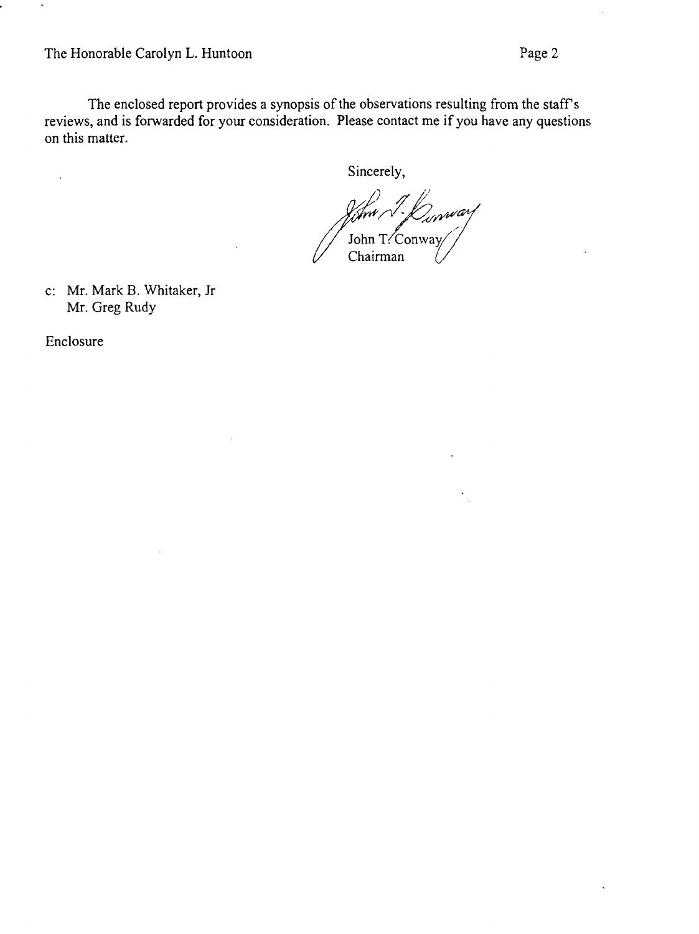The enclosed report provides a synopsis of the observations resulting from the staff's reviews, and is forwarded for your consideration. Please contact me if you have any questions on this matter.

Sincerely,

*(fww/1-fO<sub>or</sub>wwarf*<br>John T?:Conway Chairman

c: Mr. Mark B. Whitaker, Jr Mr. Greg Rudy

Enclosure

 $\ddot{\phantom{a}}$ 

 $\blacksquare$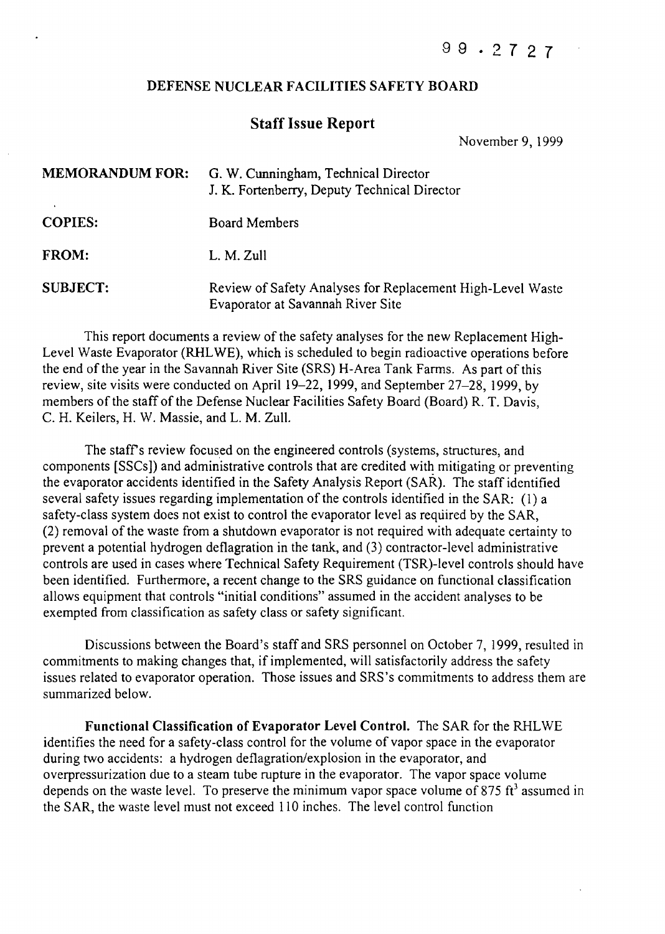## DEFENSE NUCLEAR FACILITIES SAFETY BOARD

## Staff Issue Report

November 9, 1999

| <b>MEMORANDUM FOR:</b> | G. W. Cunningham, Technical Director<br>J. K. Fortenberry, Deputy Technical Director            |
|------------------------|-------------------------------------------------------------------------------------------------|
| <b>COPIES:</b>         | <b>Board Members</b>                                                                            |
| <b>FROM:</b>           | L. M. Zull                                                                                      |
| <b>SUBJECT:</b>        | Review of Safety Analyses for Replacement High-Level Waste<br>Evaporator at Savannah River Site |

This report documents a review of the safety analyses for the new Replacement High-Level Waste Evaporator (RHLWE), which is scheduled to begin radioactive operations before the end of the year in the Savannah River Site (SRS) H-Area Tank Farms. As part of this review, site visits were conducted on April 19-22, 1999, and September 27-28, 1999, by members of the staff of the Defense Nuclear Facilities Safety Board (Board) R. T. Davis, C. H. Keilers, H. W. Massie, and L. M. Zull.

The staff's review focused on the engineered controls (systems, structures, and components [SSCs]) and administrative controls that are credited with mitigating or preventing the evaporator accidents identified in the Safety Analysis Report (SAR). The staff identified several safety issues regarding implementation of the controls identified in the SAR: (1) a safety-class system does not exist to control the evaporator level as required by the SAR, (2) removal ofthe waste from a shutdown evaporator is not required with adequate certainty to prevent a potential hydrogen deflagration in the tank, and (3) contractor-level administrative controls are used in cases where Technical Safety Requirement (TSR)-level controls should have been identified. Furthermore, a recent change to the SRS guidance on functional classification allows equipment that controls "initial conditions" assumed in the accident analyses to be exempted from classification as safety class or safety significant.

Discussions between the Board's staff and SRS personnel on October 7,1999, resulted in commitments to making changes that, if implemented, will satisfactorily address the safety issues related to evaporator operation. Those issues and SRS's commitments to address them are summarized below.

Functional Classification of Evaporator Level Control. The SAR for the RHLWE identifies the need for a safety-class control for the volume of vapor space in the evaporator during two accidents: a hydrogen deflagration/explosion in the evaporator, and overpressurization due to a steam tube rupture in the evaporator. The vapor space volume depends on the waste level. To preserve the minimum vapor space volume of 875 ft<sup>3</sup> assumed in the SAR, the waste level must not exceed 110 inches. The level control function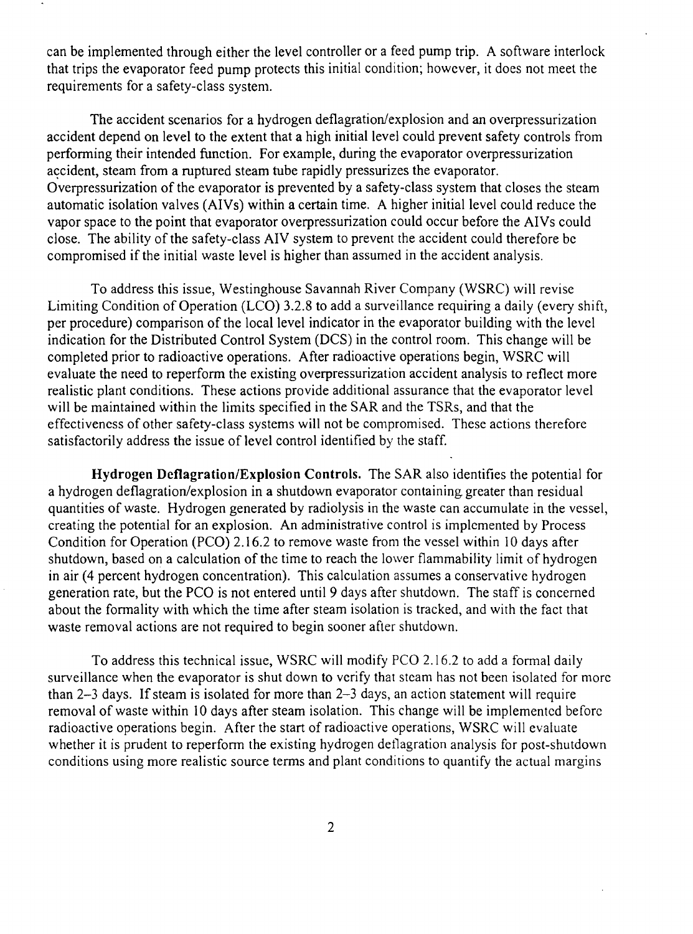can be implemented through either the level controller or a feed pump trip. A software interlock that trips the evaporator feed pump protects this initial condition; however, it does not meet the requirements for a safety-class system.

The accident scenarios for a hydrogen deflagration/explosion and an overpressurization accident depend on level to the extent that a high initial level could prevent safety controls from perfonning their intended function. For example, during the evaporator overpressurization accident, steam from a ruptured steam tube rapidly pressurizes the evaporator. Overpressurization of the evaporator is prevented by a safety-class system that closes the steam automatic isolation valves (AIVs) within a certain time. A higher initial level could reduce the vapor space to the point that evaporator overpressurization could occur before the AIVs could close. The ability of the safety-class AIV system to prevent the accident could therefore be compromised if the initial waste level is higher than assumed in the accident analysis.

To address this issue, Westinghouse Savannah River Company (WSRC) will revise Limiting Condition of Operation (LCD) 3.2.8 to add a surveillance requiring a daily (every shift, per procedure) comparison of the local level indicator in the evaporator building with the level indication for the Distributed Control System (DCS) in the control room. This change will be completed prior to radioactive operations. After radioactive operations begin, WSRC will evaluate the need to reperform the existing overpressurization accident analysis to reflect more realistic plant conditions. These actions provide additional assurance that the evaporator level will be maintained within the limits specified in the SAR and the TSRs, and that the effectiveness of other safety-class systems will not be compromised. These actions therefore satisfactorily address the issue of level control identified by the staff.

**Hydrogen Deflagration/Explosion Controls.** The SAR also identifies the potential for a hydrogen deflagration/explosion in a shutdown evaporator containing greater than residual quantities of waste. Hydrogen generated by radiolysis in the waste can accumulate in the vessel, creating the potential for an explosion. An administrative control is implemented by Process Condition for Operation (PCO) 2.16.2 to remove waste from the vessel within 10 days after shutdown, based on a calculation of the time to reach the lower flammability limit of hydrogen in air (4 percent hydrogen concentration). This calculation assumes a conservative hydrogen generation rate, but the PCO is not entered until 9 days after shutdown. The staff is concerned about the formality with which the time after steam isolation is tracked, and with the fact that waste removal actions are not required to begin sooner after shutdown.

To address this technical issue, WSRC will modify PCO 2.16.2 to add a fonnal daily surveillance when the evaporator is shut down to verify that steam has not been isolated for more than  $2-3$  days. If steam is isolated for more than  $2-3$  days, an action statement will require removal of waste within 10 days after steam isolation. This change will be implemented before radioactive operations begin. After the start of radioactive operations, WSRC will evaluate whether it is prudent to reperform the existing hydrogen detlagration analysis for post-shutdown conditions using more realistic source terms and plant conditions to quantify the actual margins